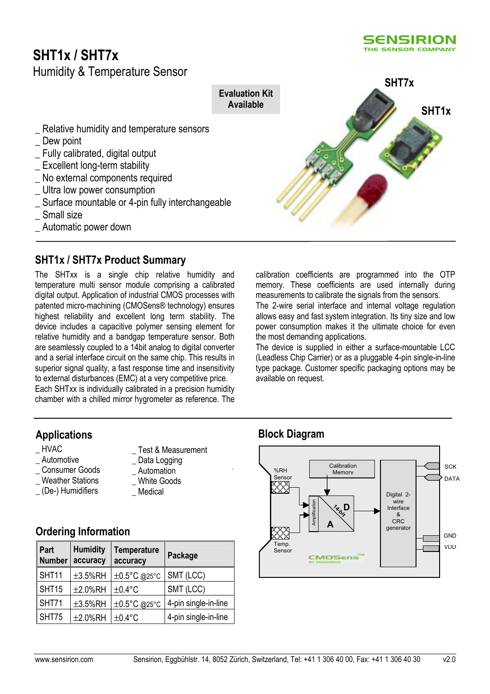# **SHT1x / SHT7x**

#### **5ENSIRION** THE SENSOR COMPANY

Humidity & Temperature Sensor Relative humidity and temperature sensors Dew point \_ Fully calibrated, digital output \_ Excellent long-term stability No external components required \_ Ultra low power consumption \_ Surface mountable or 4-pin fully interchangeable Small size **Evaluation Kit Available SHT7x SHT1x**

\_ Automatic power down

# **SHT1x / SHT7x Product Summary**

The SHTxx is a single chip relative humidity and temperature multi sensor module comprising a calibrated digital output. Application of industrial CMOS processes with patented micro-machining (CMOSens® technology) ensures highest reliability and excellent long term stability. The device includes a capacitive polymer sensing element for relative humidity and a bandgap temperature sensor. Both are seamlessly coupled to a 14bit analog to digital converter and a serial interface circuit on the same chip. This results in superior signal quality, a fast response time and insensitivity to external disturbances (EMC) at a very competitive price. Each SHTxx is individually calibrated in a precision humidity chamber with a chilled mirror hygrometer as reference. The

# **Applications**

- \_ HVAC
- Automotive
- \_ Consumer Goods
- Weather Stations
- \_ (De-) Humidifiers
- Test & Measurement Data Logging
- \_ Automation
- White Goods
- Medical

# **Ordering Information**

| Part<br><b>Number</b> | <b>Humidity</b><br>accuracy | <b>Temperature</b><br>accuracy | <b>Package</b>       |
|-----------------------|-----------------------------|--------------------------------|----------------------|
| SHT11                 | $\pm 3.5\%$ RH              | ±0.5°C @25°C                   | SMT (LCC)            |
| SHT15                 | ±2.0%RH                     | $\pm 0.4$ °C                   | SMT (LCC)            |
| SHT71                 | $\pm 3.5\%$ RH              | ±0.5°C @25°C                   | 4-pin single-in-line |
| SHT75                 | ±2.0%RH                     | $±0.4$ °C                      | 4-pin single-in-line |

calibration coefficients are programmed into the OTP memory. These coefficients are used internally during measurements to calibrate the signals from the sensors.

The 2-wire serial interface and internal voltage regulation allows easy and fast system integration. Its tiny size and low power consumption makes it the ultimate choice for even the most demanding applications.

The device is supplied in either a surface-mountable LCC (Leadless Chip Carrier) or as a pluggable 4-pin single-in-line type package. Customer specific packaging options may be available on request.

# **Block Diagram**

**1** 

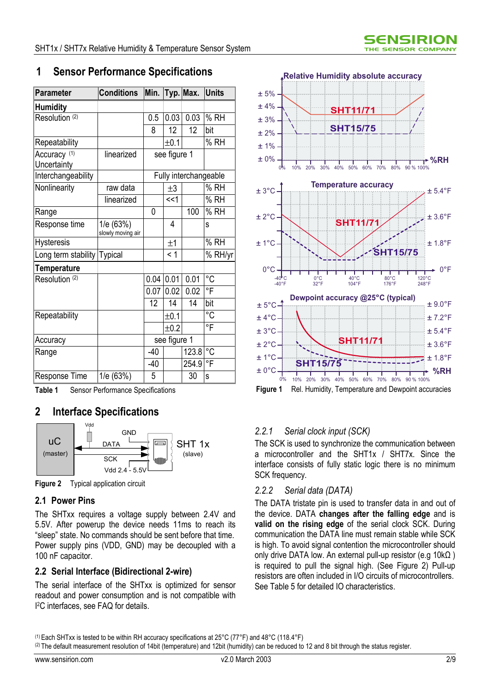# **1 Sensor Performance Specifications**

| <b>Parameter</b>                       | <b>Conditions</b>              | Min.         |                 | Typ. Max.             | <b>Units</b> |
|----------------------------------------|--------------------------------|--------------|-----------------|-----------------------|--------------|
| <b>Humidity</b>                        |                                |              |                 |                       |              |
| Resolution (2)                         |                                | 0.5          | 0.03            | 0.03                  | % RH         |
|                                        |                                | 8            | 12 <sup>2</sup> | $\overline{12}$       | bit          |
| Repeatability                          |                                |              | $\pm 0.1$       |                       | % RH         |
| Accuracy <sup>(1)</sup><br>Uncertainty | linearized                     |              | see figure 1    |                       |              |
| Interchangeability                     |                                |              |                 | Fully interchangeable |              |
| Nonlinearity                           | raw data                       |              | $\pm 3$         |                       | % RH         |
|                                        | linearized                     |              | <<1             |                       | % RH         |
| Range                                  |                                | 0            |                 | 100                   | % RH         |
| Response time                          | 1/e (63%)<br>slowly moving air |              | 4               |                       | S            |
| <b>Hysteresis</b>                      |                                |              | ±1              |                       | % RH         |
| Long term stability                    | <b>Typical</b>                 |              | < 1             |                       | % RH/yr      |
| <b>Temperature</b>                     |                                |              |                 |                       |              |
| Resolution (2)                         |                                | 0.04         | 0.01            | 0.01                  | °C           |
|                                        |                                | 0.07         | 0.02            | 0.02                  | °F           |
|                                        |                                | 12           | 14              | 14                    | bit          |
| Repeatability                          |                                |              | ±0.1            |                       | °C           |
|                                        |                                |              | ±0.2            |                       | °F           |
| Accuracy                               |                                | see figure 1 |                 |                       |              |
| Range                                  |                                | -40          |                 | 123.8                 | $^{\circ}C$  |
|                                        |                                | $-40$        |                 | 254.9                 | °F           |
| <b>Response Time</b>                   | 1/e (63%)                      | 5            |                 | 30                    | S            |

**Table 1** Sensor Performance Specifications

# **2 Interface Specifications**



**Figure 2** Typical application circuit

# **2.1 Power Pins**

The SHTxx requires a voltage supply between 2.4V and 5.5V. After powerup the device needs 11ms to reach its "sleep" state. No commands should be sent before that time. Power supply pins (VDD, GND) may be decoupled with a 100 nF capacitor.

# **2.2 Serial Interface (Bidirectional 2-wire)**

The serial interface of the SHTxx is optimized for sensor readout and power consumption and is not compatible with I 2C interfaces, see FAQ for details.



# *2.2.1 Serial clock input (SCK)*

The SCK is used to synchronize the communication between a microcontroller and the SHT1x / SHT7x. Since the interface consists of fully static logic there is no minimum SCK frequency.

#### *2.2.2 Serial data (DATA)*

The DATA tristate pin is used to transfer data in and out of the device. DATA **changes after the falling edge** and is **valid on the rising edge** of the serial clock SCK. During communication the DATA line must remain stable while SCK is high. To avoid signal contention the microcontroller should only drive DATA low. An external pull-up resistor (e.g 10kΩ ) is required to pull the signal high. (See Figure 2) Pull-up resistors are often included in I/O circuits of microcontrollers. See Table 5 for detailed IO characteristics.

(2) The default measurement resolution of 14bit (temperature) and 12bit (humidity) can be reduced to 12 and 8 bit through the status register.

<sup>(1)</sup> Each SHTxx is tested to be within RH accuracy specifications at 25°C (77°F) and 48°C (118.4°F)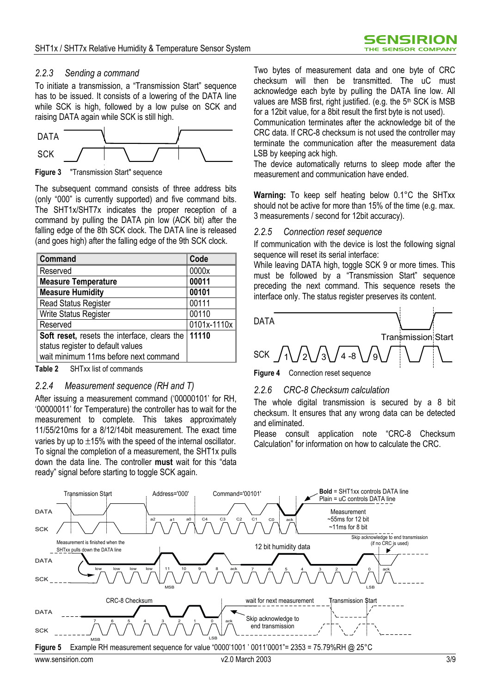#### *2.2.3 Sending a command*

To initiate a transmission, a "Transmission Start" sequence has to be issued. It consists of a lowering of the DATA line while SCK is high, followed by a low pulse on SCK and raising DATA again while SCK is still high.



**Figure 3** "Transmission Start" sequence

The subsequent command consists of three address bits (only "000" is currently supported) and five command bits. The SHT1x/SHT7x indicates the proper reception of a command by pulling the DATA pin low (ACK bit) after the falling edge of the 8th SCK clock. The DATA line is released (and goes high) after the falling edge of the 9th SCK clock.

| Command                                             | Code        |
|-----------------------------------------------------|-------------|
| Reserved                                            | 0000x       |
| <b>Measure Temperature</b>                          | 00011       |
| <b>Measure Humidity</b>                             | 00101       |
| <b>Read Status Register</b>                         | 00111       |
| Write Status Register                               | 00110       |
| Reserved                                            | 0101x-1110x |
| <b>Soft reset, resets the interface, clears the</b> | 11110       |
| status register to default values                   |             |
| wait minimum 11ms before next command               |             |

**Table 2** SHTxx list of commands

#### *2.2.4 Measurement sequence (RH and T)*

After issuing a measurement command ('00000101' for RH, ë00000011í for Temperature) the controller has to wait for the measurement to complete. This takes approximately 11/55/210ms for a 8/12/14bit measurement. The exact time varies by up to  $\pm 15$ % with the speed of the internal oscillator. To signal the completion of a measurement, the SHT1x pulls down the data line. The controller **must** wait for this "data ready" signal before starting to toggle SCK again.

Two bytes of measurement data and one byte of CRC checksum will then be transmitted. The uC must acknowledge each byte by pulling the DATA line low. All values are MSB first, right justified. (e.g. the 5<sup>th</sup> SCK is MSB for a 12bit value, for a 8bit result the first byte is not used).

Communication terminates after the acknowledge bit of the CRC data. If CRC-8 checksum is not used the controller may terminate the communication after the measurement data LSB by keeping ack high.

The device automatically returns to sleep mode after the measurement and communication have ended.

**Warning:** To keep self heating below 0.1°C the SHTxx should not be active for more than 15% of the time (e.g. max. 3 measurements / second for 12bit accuracy).

#### *2.2.5 Connection reset sequence*

If communication with the device is lost the following signal sequence will reset its serial interface:

While leaving DATA high, toggle SCK 9 or more times. This must be followed by a "Transmission Start" sequence preceding the next command. This sequence resets the interface only. The status register preserves its content.



**Figure 4** Connection reset sequence

#### *2.2.6 CRC-8 Checksum calculation*

The whole digital transmission is secured by a 8 bit checksum. It ensures that any wrong data can be detected and eliminated.

Please consult application note "CRC-8 Checksum Calculationî for information on how to calculate the CRC.

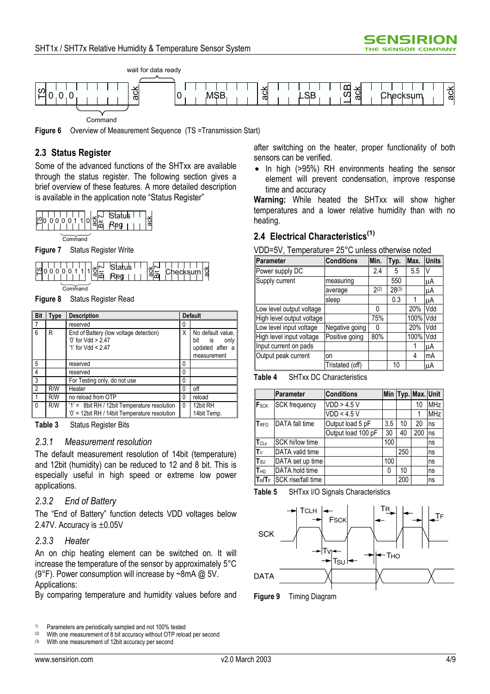

**Figure 6** Overview of Measurement Sequence (TS =Transmission Start)

### **2.3 Status Register**

Some of the advanced functions of the SHTxx are available through the status register. The following section gives a brief overview of these features. A more detailed description is available in the application note "Status Register"



**Command** 

**Figure 7** Status Register Write



**Command** 

**Figure 8** Status Register Read

| <b>Bit</b>      | <b>Type</b> | <b>Description</b>                                                                            | <b>Default</b> |                                                                          |
|-----------------|-------------|-----------------------------------------------------------------------------------------------|----------------|--------------------------------------------------------------------------|
| 7               |             | reserved                                                                                      | 0              |                                                                          |
| $6\phantom{1}6$ | R           | End of Battery (low voltage detection)<br>$0'$ for Vdd > 2.47<br>'1' for $Vdd < 2.47$         | χ              | No default value.<br>bit<br>is<br>only<br>updated after a<br>measurement |
| 5               |             | reserved                                                                                      | 0              |                                                                          |
| $\overline{4}$  |             | reserved                                                                                      | 0              |                                                                          |
| 3               |             | For Testing only, do not use                                                                  | 0              |                                                                          |
| $\overline{2}$  | R/W         | Heater                                                                                        | 0              | off                                                                      |
| $\mathbf{1}$    | R/W         | no reload from OTP                                                                            | 0              | reload                                                                   |
| $\mathbf{0}$    | R/W         | '1' = 8bit RH / 12bit Temperature resolution<br>'0' = 12bit RH / 14bit Temperature resolution | 0              | 12bit RH<br>14bit Temp.                                                  |

**Table 3** Status Register Bits

#### *2.3.1 Measurement resolution*

The default measurement resolution of 14bit (temperature) and 12bit (humidity) can be reduced to 12 and 8 bit. This is especially useful in high speed or extreme low power applications.

#### *2.3.2 End of Battery*

The "End of Battery" function detects VDD voltages below 2.47V. Accuracy is ±0.05V

### *2.3.3 Heater*

An on chip heating element can be switched on. It will increase the temperature of the sensor by approximately 5°C (9°F). Power consumption will increase by ~8mA @ 5V. Applications:

By comparing temperature and humidity values before and

after switching on the heater, proper functionality of both sensors can be verified.

• In high (>95%) RH environments heating the sensor element will prevent condensation, improve response time and accuracy

**Warning:** While heated the SHTxx will show higher temperatures and a lower relative humidity than with no heating.

#### **2.4 Electrical Characteristics(1)**

VDD=5V, Temperature= 25°C unless otherwise noted

| <b>Parameter</b>          | <b>Conditions</b> | Min. | Typ.       | Max. | <b>Units</b> |
|---------------------------|-------------------|------|------------|------|--------------|
| Power supply DC           |                   | 2.4  | 5          | 5.5  | V            |
| Supply current            | measuring         |      | 550        |      | μA           |
|                           | average           | 2(2) | $28^{(3)}$ |      | μA           |
|                           | sleep             |      | 0.3        |      | μA           |
| Low level output voltage  |                   | 0    |            | 20%  | Vdd          |
| High level output voltage |                   | 75%  |            | 100% | Vdd          |
| Low level input voltage   | Negative going    | ŋ    |            | 20%  | Vdd          |
| High level input voltage  | Positive going    | 80%  |            | 100% | Vdd          |
| Input current on pads     |                   |      |            |      | μA           |
| Output peak current       | on                |      |            | 4    | mA           |
|                           | Tristated (off)   |      | 10         |      | luA          |

**Table 4** SHTxx DC Characteristics

|                        | <b>Parameter</b>      | <b>Conditions</b>  |     |     | Min Typ. Max. Unit |            |
|------------------------|-----------------------|--------------------|-----|-----|--------------------|------------|
| F <sub>SCK</sub>       | <b>SCK</b> frequency  | VDD > 4.5 V        |     |     | 10                 | <b>MHz</b> |
|                        |                       | VDD < 4.5 V        |     |     |                    | <b>MHz</b> |
| <b>TRFO</b>            | <b>DATA</b> fall time | Output load 5 pF   | 3.5 | 10  | 20                 | ns         |
|                        |                       | Output load 100 pF | 30  | 40  | 200                | ns         |
| TCLx                   | SCK hi/low time       |                    | 100 |     |                    | ns         |
| $ {\sf T}_\lor $       | DATA valid time       |                    |     | 250 |                    | ns         |
| $T_{\text{SU}}$        | DATA set up time      |                    | 100 |     |                    | ns         |
| <b>T</b> <sub>HO</sub> | DATA hold time        |                    | 0   | 10  |                    | ns         |
| $T_R/T_F$              | SCK rise/fall time    |                    |     | 200 |                    | ns         |

**Table 5** SHTxx I/O Signals Characteristics



**Figure 9** Timing Diagram

<sup>&</sup>lt;sup>1)</sup> Parameters are periodically sampled and not 100% tested<br><sup>(2)</sup> With one measurement of 8 bit accuracy without OTP relox

<sup>(2)</sup> With one measurement of 8 bit accuracy without OTP reload per second<br>(3) With one measurement of 12bit accuracy ner second

With one measurement of 12bit accuracy per second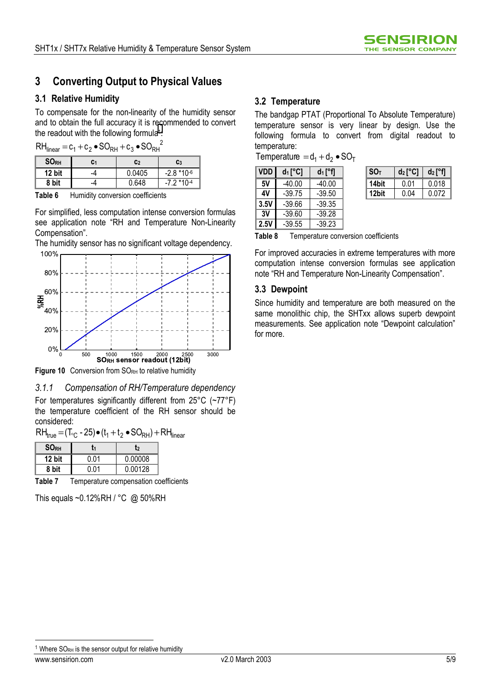# **3 Converting Output to Physical Values**

### **3.1 Relative Humidity**

To compensate for the non-linearity of the humidity sensor and to obtain the full accuracy it is recommended to convert the readout with the following formula<sup>1</sup>:

 $RH_{linear} = c_1 + c_2 \bullet SO_{RH} + c_3 \bullet SO_{RH}^2$ 

| <b>SORH</b> | C1 | C <sub>2</sub> | C <sub>3</sub> |
|-------------|----|----------------|----------------|
| 12 bit      | -4 | 0.0405         | $-2.8*10^{-6}$ |
| 8 bit       | -4 | N 618          | -7 2 *10-4     |

For simplified, less computation intense conversion formulas see application note "RH and Temperature Non-Linearity Compensation<sup>"</sup>.

The humidity sensor has no significant voltage dependency.



Figure 10 Conversion from SORH to relative humidity

*3.1.1 Compensation of RH/Temperature dependency*  For temperatures significantly different from 25°C (~77°F) the temperature coefficient of the RH sensor should be considered:

 $RH_{\text{true}} = (T_{\text{c}} - 25) \cdot (t_1 + t_2 \cdot SO_{\text{RH}}) + RH_{\text{linear}}$ 

| <b>SORH</b> |      | [2      |
|-------------|------|---------|
| 12 bit      | በ በ1 | 0.00008 |
| 8 bit       | ባ በ1 | 0.00128 |

**Table 7** Temperature compensation coefficients

This equals ~0.12%RH / °C @ 50%RH

# **3.2 Temperature**

The bandgap PTAT (Proportional To Absolute Temperature) temperature sensor is very linear by design. Use the following formula to convert from digital readout to temperature:

Temperature  $=d_1 + d_2 \bullet SO_T$ 

| <b>VDD</b> | $d_1[^{\circ}C]$ | $d_1$ [°f] | SO <sub>T</sub> | $d_2[^{\circ}C]$ | $d_2$ [°f] |
|------------|------------------|------------|-----------------|------------------|------------|
| 5V         | $-40.00$         | $-40.00$   | 14bit           | 0.01             | 0.018      |
| 4V         | $-39.75$         | $-39.50$   | 12bit           | 0.04             | 0.072      |
| 3.5V       | $-39.66$         | $-39.35$   |                 |                  |            |
| 3V         | $-39.60$         | $-39.28$   |                 |                  |            |
| 2.5V       | $-39.55$         | $-39.23$   |                 |                  |            |

| SОт   | $d_2$ [ $^{\circ}$ C1 | $d_2$   $\degree$ |
|-------|-----------------------|-------------------|
| '4bit | 0 01                  | 0.018             |
| 12bit | 0.04                  | 0.072             |

**Table 8** Temperature conversion coefficients

For improved accuracies in extreme temperatures with more computation intense conversion formulas see application note "RH and Temperature Non-Linearity Compensation".

#### **3.3 Dewpoint**

Since humidity and temperature are both measured on the same monolithic chip, the SHTxx allows superb dewpoint measurements. See application note "Dewpoint calculation" for more.

<sup>1</sup> Where  $SORH$  is the sensor output for relative humidity

 $\overline{a}$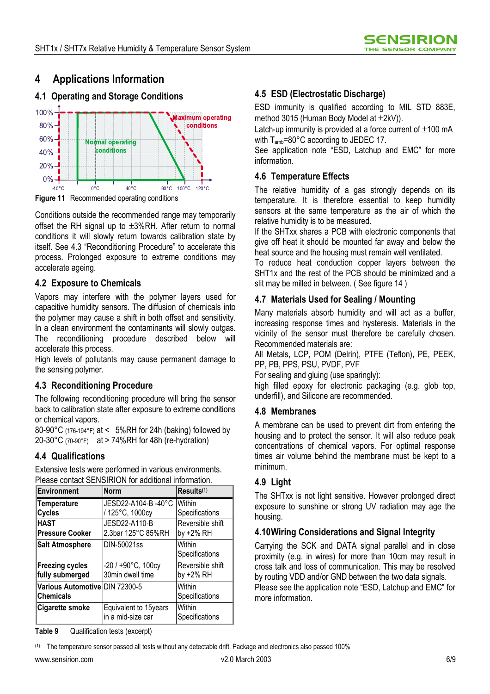# **4 Applications Information**

# **4.1 Operating and Storage Conditions**



**Figure 11** Recommended operating conditions

Conditions outside the recommended range may temporarily offset the RH signal up to  $\pm 3\%$ RH. After return to normal conditions it will slowly return towards calibration state by itself. See 4.3 "Reconditioning Procedure" to accelerate this process. Prolonged exposure to extreme conditions may accelerate ageing.

### **4.2 Exposure to Chemicals**

Vapors may interfere with the polymer layers used for capacitive humidity sensors. The diffusion of chemicals into the polymer may cause a shift in both offset and sensitivity. In a clean environment the contaminants will slowly outgas. The reconditioning procedure described below will accelerate this process.

High levels of pollutants may cause permanent damage to the sensing polymer.

# **4.3 Reconditioning Procedure**

The following reconditioning procedure will bring the sensor back to calibration state after exposure to extreme conditions or chemical vapors.

80-90°C (176-194°F) at < 5%RH for 24h (baking) followed by 20-30°C (70-90°F) at > 74%RH for 48h (re-hydration)

# **4.4 Qualifications**

Extensive tests were performed in various environments. Please contact SENSIRION for additional information.

| Environment                                        | <b>Norm</b>                                    | Results <sup>(1)</sup>        |
|----------------------------------------------------|------------------------------------------------|-------------------------------|
| Temperature<br><b>Cycles</b>                       | JESD22-A104-B-40°C<br>/ 125°C, 1000cy          | Within<br>Specifications      |
| <b>HAST</b><br><b>Pressure Cooker</b>              | JESD22-A110-B<br>2.3bar 125°C 85%RH            | Reversible shift<br>by +2% RH |
| <b>Salt Atmosphere</b>                             | DIN-50021ss                                    | Within<br>Specifications      |
| <b>Freezing cycles</b><br>fully submerged          | $-20/+90^{\circ}$ C, 100cy<br>30min dwell time | Reversible shift<br>by +2% RH |
| Various Automotive DIN 72300-5<br><b>Chemicals</b> |                                                | Within<br>Specifications      |
| <b>Cigarette smoke</b>                             | Equivalent to 15years<br>in a mid-size car     | Within<br>Specifications      |

# **4.5 ESD (Electrostatic Discharge)**

ESD immunity is qualified according to MIL STD 883E, method 3015 (Human Body Model at  $\pm 2kV$ )).

Latch-up immunity is provided at a force current of  $\pm 100$  mA with  $T_{amb}$ =80 $^{\circ}$ C according to JEDEC 17.

See application note "ESD, Latchup and EMC" for more information.

#### **4.6 Temperature Effects**

The relative humidity of a gas strongly depends on its temperature. It is therefore essential to keep humidity sensors at the same temperature as the air of which the relative humidity is to be measured.

If the SHTxx shares a PCB with electronic components that give off heat it should be mounted far away and below the heat source and the housing must remain well ventilated.

To reduce heat conduction copper layers between the SHT1x and the rest of the PCB should be minimized and a slit may be milled in between. ( See figure 14 )

# **4.7 Materials Used for Sealing / Mounting**

Many materials absorb humidity and will act as a buffer, increasing response times and hysteresis. Materials in the vicinity of the sensor must therefore be carefully chosen. Recommended materials are:

All Metals, LCP, POM (Delrin), PTFE (Teflon), PE, PEEK, PP, PB, PPS, PSU, PVDF, PVF

For sealing and gluing (use sparingly):

high filled epoxy for electronic packaging (e.g. glob top, underfill), and Silicone are recommended.

#### **4.8 Membranes**

A membrane can be used to prevent dirt from entering the housing and to protect the sensor. It will also reduce peak concentrations of chemical vapors. For optimal response times air volume behind the membrane must be kept to a minimum.

# **4.9 Light**

The SHTxx is not light sensitive. However prolonged direct exposure to sunshine or strong UV radiation may age the housing.

# **4.10 Wiring Considerations and Signal Integrity**

Carrying the SCK and DATA signal parallel and in close proximity (e.g. in wires) for more than 10cm may result in cross talk and loss of communication. This may be resolved by routing VDD and/or GND between the two data signals. Please see the application note "ESD, Latchup and EMC" for more information.

**Table 9** Qualification tests (excerpt)

(1) The temperature sensor passed all tests without any detectable drift. Package and electronics also passed 100%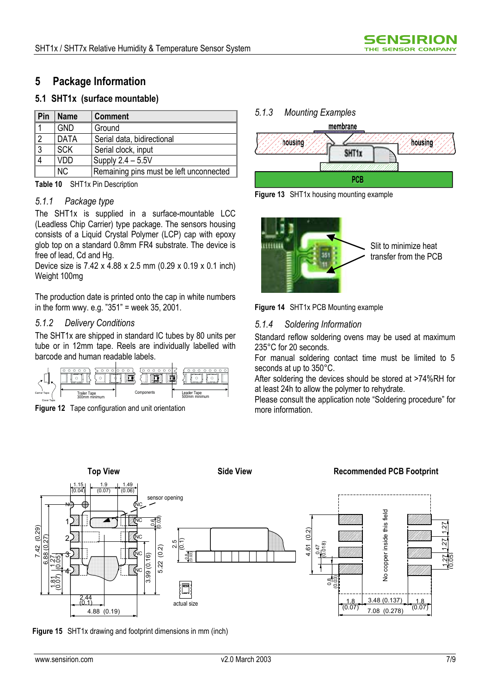# **5 Package Information**

#### **5.1 SHT1x (surface mountable)**

| ∣ Pin | <b>Name</b> | <b>Comment</b>                          |  |
|-------|-------------|-----------------------------------------|--|
|       | <b>GND</b>  | Ground                                  |  |
| 2 ا   | <b>DATA</b> | Serial data, bidirectional              |  |
| 3     | <b>SCK</b>  | Serial clock, input                     |  |
|       | VDD         | Supply 2.4 - 5.5V                       |  |
|       | <b>NC</b>   | Remaining pins must be left unconnected |  |

**Table 10** SHT1x Pin Description

#### *5.1.1 Package type*

The SHT1x is supplied in a surface-mountable LCC (Leadless Chip Carrier) type package. The sensors housing consists of a Liquid Crystal Polymer (LCP) cap with epoxy glob top on a standard 0.8mm FR4 substrate. The device is free of lead, Cd and Hg.

Device size is 7.42 x 4.88 x 2.5 mm (0.29 x 0.19 x 0.1 inch) Weight 100mg

The production date is printed onto the cap in white numbers in the form wwy. e.g.  $351$ " = week 35, 2001.

#### *5.1.2 Delivery Conditions*

The SHT1x are shipped in standard IC tubes by 80 units per tube or in 12mm tape. Reels are individually labelled with barcode and human readable labels.





# *5.1.3 Mounting Examples*  membrane **housing** housing **SHT1x**

**PCB**

**Figure 13** SHT1x housing mounting example





### *5.1.4 Soldering Information*

Standard reflow soldering ovens may be used at maximum 235°C for 20 seconds.

For manual soldering contact time must be limited to 5 seconds at up to 350°C.

After soldering the devices should be stored at >74%RH for at least 24h to allow the polymer to rehydrate.

Please consult the application note "Soldering procedure" for more information.



**Figure 15** SHT1x drawing and footprint dimensions in mm (inch)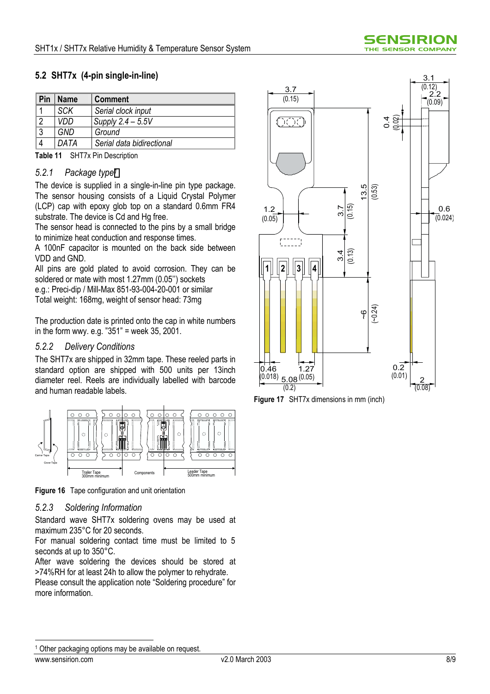# **5.2 SHT7x (4-pin single-in-line)**

| Pin | <b>Name</b> | <b>Comment</b>            |  |
|-----|-------------|---------------------------|--|
|     | <b>SCK</b>  | Serial clock input        |  |
| ∩   | VDD         | Supply $2.4 - 5.5V$       |  |
| C   | GND         | Ground                    |  |
|     | DATA        | Serial data bidirectional |  |

**Table 11** SHT7x Pin Description

#### *5.2.1 Package type1*

The device is supplied in a single-in-line pin type package. The sensor housing consists of a Liquid Crystal Polymer (LCP) cap with epoxy glob top on a standard 0.6mm FR4 substrate. The device is Cd and Hg free.

The sensor head is connected to the pins by a small bridge to minimize heat conduction and response times.

A 100nF capacitor is mounted on the back side between VDD and GND.

All pins are gold plated to avoid corrosion. They can be soldered or mate with most 1.27mm (0.05<sup>n</sup>) sockets

e.g.: Preci-dip / Mill-Max 851-93-004-20-001 or similar Total weight: 168mg, weight of sensor head: 73mg

The production date is printed onto the cap in white numbers in the form wwy. e.g.  $351$ " = week 35, 2001.

#### *5.2.2 Delivery Conditions*

The SHT7x are shipped in 32mm tape. These reeled parts in standard option are shipped with 500 units per 13inch diameter reel. Reels are individually labelled with barcode and human readable labels.



**Figure 16** Tape configuration and unit orientation

#### *5.2.3 Soldering Information*

Standard wave SHT7x soldering ovens may be used at maximum 235°C for 20 seconds.

For manual soldering contact time must be limited to 5 seconds at up to 350°C.

After wave soldering the devices should be stored at >74%RH for at least 24h to allow the polymer to rehydrate.

Please consult the application note "Soldering procedure" for more information.



**Figure 17** SHT7x dimensions in mm (inch)

 $\overline{a}$ <sup>1</sup> Other packaging options may be available on request.